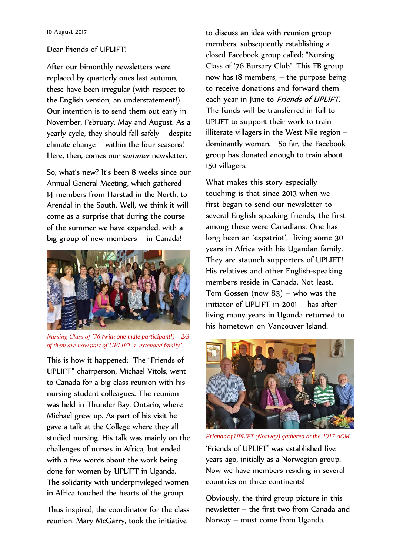## Dear friends of UPLIFT!

After our bimonthly newsletters were replaced by quarterly ones last autumn, these have been irregular (with respect to the English version, an understatement!) Our intention is to send them out early in November, February, May and August. As a yearly cycle, they should fall safely – despite climate change – within the four seasons! Here, then, comes our *summer* newsletter.

So, what's new? It's been 8 weeks since our Annual General Meeting, which gathered 14 members from Harstad in the North, to Arendal in the South. Well, we think it will come as a surprise that during the course of the summer we have expanded, with a big group of new members – in Canada!



*Nursing Class of '76 (with one male participant!) – 2/3 of them are now part of UPLIFT's 'extended family'...*

This is how it happened: The "Friends of UPLIFT" chairperson, Michael Vitols, went to Canada for a big class reunion with his nursing-student colleagues. The reunion was held in Thunder Bay, Ontario, where Michael grew up. As part of his visit he gave a talk at the College where they all studied nursing. His talk was mainly on the challenges of nurses in Africa, but ended with a few words about the work being done for women by UPLIFT in Uganda. The solidarity with underprivileged women in Africa touched the hearts of the group.

Thus inspired, the coordinator for the class reunion, Mary McGarry, took the initiative

to discuss an idea with reunion group members, subsequently establishing a closed Facebook group called: "Nursing Class of '76 Bursary Club". This FB group now has 18 members, – the purpose being to receive donations and forward them each year in June to Friends of UPLIFT. The funds will be transferred in full to UPLIFT to support their work to train illiterate villagers in the West Nile region – dominantly women. So far, the Facebook group has donated enough to train about 150 villagers.

What makes this story especially touching is that since 2013 when we first began to send our newsletter to several English-speaking friends, the first among these were Canadians. One has long been an 'expatriot', living some 30 years in Africa with his Ugandan family. They are staunch supporters of UPLIFT! His relatives and other English-speaking members reside in Canada. Not least, Tom Gossen (now 83) – who was the initiator of UPLIFT in 2001 – has after living many years in Uganda returned to his hometown on Vancouver Island.



*Friends of UPLIFT (Norway) gathered at the 2017 AGM* 'Friends of UPLIFT' was established five years ago, initially as a Norwegian group. Now we have members residing in several countries on three continents!

Obviously, the third group picture in this newsletter – the first two from Canada and Norway – must come from Uganda.